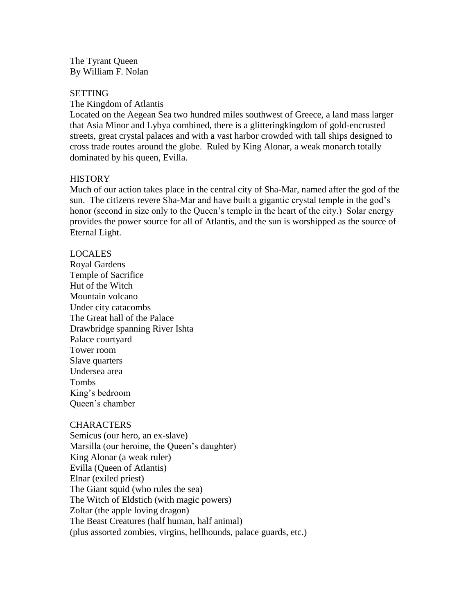The Tyrant Queen By William F. Nolan

#### SETTING

The Kingdom of Atlantis

Located on the Aegean Sea two hundred miles southwest of Greece, a land mass larger that Asia Minor and Lybya combined, there is a glitteringkingdom of gold-encrusted streets, great crystal palaces and with a vast harbor crowded with tall ships designed to cross trade routes around the globe. Ruled by King Alonar, a weak monarch totally dominated by his queen, Evilla.

# **HISTORY**

Much of our action takes place in the central city of Sha-Mar, named after the god of the sun. The citizens revere Sha-Mar and have built a gigantic crystal temple in the god's honor (second in size only to the Queen's temple in the heart of the city.) Solar energy provides the power source for all of Atlantis, and the sun is worshipped as the source of Eternal Light.

# LOCALES

Royal Gardens Temple of Sacrifice Hut of the Witch Mountain volcano Under city catacombs The Great hall of the Palace Drawbridge spanning River Ishta Palace courtyard Tower room Slave quarters Undersea area Tombs King's bedroom Queen's chamber

# **CHARACTERS**

Semicus (our hero, an ex-slave) Marsilla (our heroine, the Queen's daughter) King Alonar (a weak ruler) Evilla (Queen of Atlantis) Elnar (exiled priest) The Giant squid (who rules the sea) The Witch of Eldstich (with magic powers) Zoltar (the apple loving dragon) The Beast Creatures (half human, half animal) (plus assorted zombies, virgins, hellhounds, palace guards, etc.)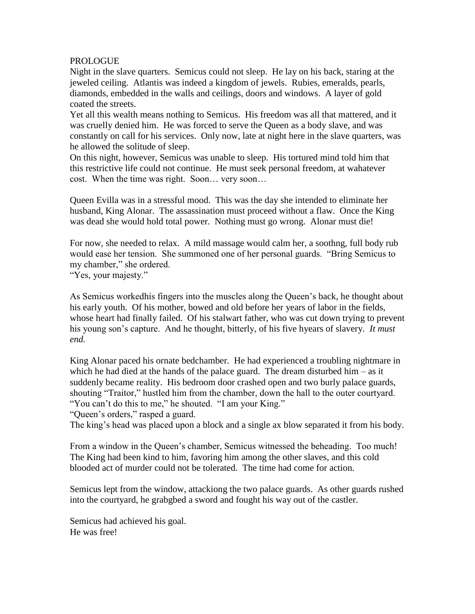### PROLOGUE

Night in the slave quarters. Semicus could not sleep. He lay on his back, staring at the jeweled ceiling. Atlantis was indeed a kingdom of jewels. Rubies, emeralds, pearls, diamonds, embedded in the walls and ceilings, doors and windows. A layer of gold coated the streets.

Yet all this wealth means nothing to Semicus. His freedom was all that mattered, and it was cruelly denied him. He was forced to serve the Queen as a body slave, and was constantly on call for his services. Only now, late at night here in the slave quarters, was he allowed the solitude of sleep.

On this night, however, Semicus was unable to sleep. His tortured mind told him that this restrictive life could not continue. He must seek personal freedom, at wahatever cost. When the time was right. Soon… very soon…

Queen Evilla was in a stressful mood. This was the day she intended to eliminate her husband, King Alonar. The assassination must proceed without a flaw. Once the King was dead she would hold total power. Nothing must go wrong. Alonar must die!

For now, she needed to relax. A mild massage would calm her, a soothng, full body rub would ease her tension. She summoned one of her personal guards. "Bring Semicus to my chamber," she ordered.

"Yes, your majesty."

As Semicus workedhis fingers into the muscles along the Queen's back, he thought about his early youth. Of his mother, bowed and old before her years of labor in the fields, whose heart had finally failed. Of his stalwart father, who was cut down trying to prevent his young son's capture. And he thought, bitterly, of his five hyears of slavery. *It must end.*

King Alonar paced his ornate bedchamber. He had experienced a troubling nightmare in which he had died at the hands of the palace guard. The dream disturbed him – as it suddenly became reality. His bedroom door crashed open and two burly palace guards, shouting "Traitor," hustled him from the chamber, down the hall to the outer courtyard. "You can't do this to me," he shouted. "I am your King."

"Queen's orders," rasped a guard.

The king's head was placed upon a block and a single ax blow separated it from his body.

From a window in the Queen's chamber, Semicus witnessed the beheading. Too much! The King had been kind to him, favoring him among the other slaves, and this cold blooded act of murder could not be tolerated. The time had come for action.

Semicus lept from the window, attackiong the two palace guards. As other guards rushed into the courtyard, he grabgbed a sword and fought his way out of the castler.

Semicus had achieved his goal. He was free!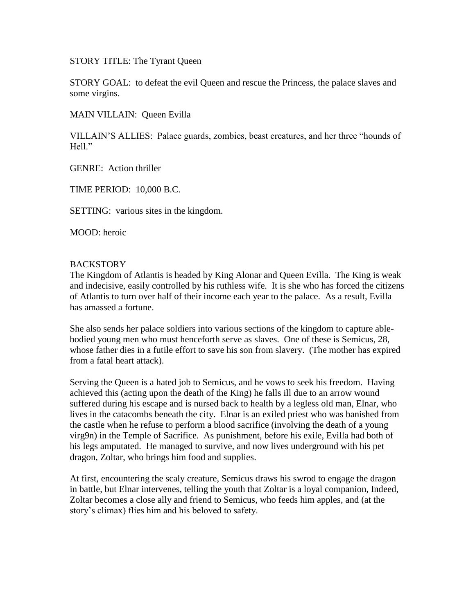STORY TITLE: The Tyrant Queen

STORY GOAL: to defeat the evil Queen and rescue the Princess, the palace slaves and some virgins.

MAIN VILLAIN: Queen Evilla

VILLAIN'S ALLIES: Palace guards, zombies, beast creatures, and her three "hounds of Hell."

GENRE: Action thriller

TIME PERIOD: 10,000 B.C.

SETTING: various sites in the kingdom.

MOOD: heroic

#### **BACKSTORY**

The Kingdom of Atlantis is headed by King Alonar and Queen Evilla. The King is weak and indecisive, easily controlled by his ruthless wife. It is she who has forced the citizens of Atlantis to turn over half of their income each year to the palace. As a result, Evilla has amassed a fortune.

She also sends her palace soldiers into various sections of the kingdom to capture ablebodied young men who must henceforth serve as slaves. One of these is Semicus, 28, whose father dies in a futile effort to save his son from slavery. (The mother has expired from a fatal heart attack).

Serving the Queen is a hated job to Semicus, and he vows to seek his freedom. Having achieved this (acting upon the death of the King) he falls ill due to an arrow wound suffered during his escape and is nursed back to health by a legless old man, Elnar, who lives in the catacombs beneath the city. Elnar is an exiled priest who was banished from the castle when he refuse to perform a blood sacrifice (involving the death of a young virg9n) in the Temple of Sacrifice. As punishment, before his exile, Evilla had both of his legs amputated. He managed to survive, and now lives underground with his pet dragon, Zoltar, who brings him food and supplies.

At first, encountering the scaly creature, Semicus draws his swrod to engage the dragon in battle, but Elnar intervenes, telling the youth that Zoltar is a loyal companion, Indeed, Zoltar becomes a close ally and friend to Semicus, who feeds him apples, and (at the story's climax) flies him and his beloved to safety.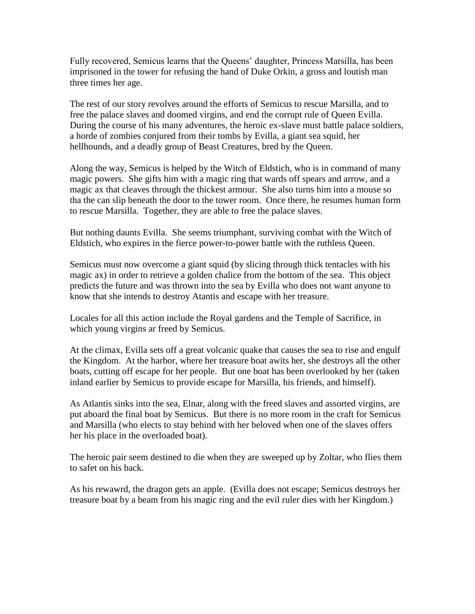Fully recovered, Semicus learns that the Queens' daughter, Princess Marsilla, has been imprisoned in the tower for refusing the hand of Duke Orkin, a gross and loutish man three times her age.

The rest of our story revolves around the efforts of Semicus to rescue Marsilla, and to free the palace slaves and doomed virgins, and end the corrupt rule of Queen Evilla. During the course of his many adventures, the heroic ex-slave must battle palace soldiers, a horde of zombies conjured from their tombs by Evilla, a giant sea squid, her hellhounds, and a deadly group of Beast Creatures, bred by the Queen.

Along the way, Semicus is helped by the Witch of Eldstich, who is in command of many magic powers. She gifts him with a magic ring that wards off spears and arrow, and a magic ax that cleaves through the thickest armour. She also turns him into a mouse so tha the can slip beneath the door to the tower room. Once there, he resumes human form to rescue Marsilla. Together, they are able to free the palace slaves.

But nothing daunts Evilla. She seems triumphant, surviving combat with the Witch of Eldstich, who expires in the fierce power-to-power battle with the ruthless Queen.

Semicus must now overcome a giant squid (by slicing through thick tentacles with his magic ax) in order to retrieve a golden chalice from the bottom of the sea. This object predicts the future and was thrown into the sea by Evilla who does not want anyone to know that she intends to destroy Atantis and escape with her treasure.

Locales for all this action include the Royal gardens and the Temple of Sacrifice, in which young virgins ar freed by Semicus.

At the climax, Evilla sets off a great volcanic quake that causes the sea to rise and engulf the Kingdom. At the harbor, where her treasure boat awits her, she destroys all the other boats, cutting off escape for her people. But one boat has been overlooked by her (taken inland earlier by Semicus to provide escape for Marsilla, his friends, and himself).

As Atlantis sinks into the sea, Elnar, along with the freed slaves and assorted virgins, are put aboard the final boat by Semicus. But there is no more room in the craft for Semicus and Marsilla (who elects to stay behind with her beloved when one of the slaves offers her his place in the overloaded boat).

The heroic pair seem destined to die when they are sweeped up by Zoltar, who flies them to safet on his back.

As his rewawrd, the dragon gets an apple. (Evilla does not escape; Semicus destroys her treasure boat by a beam from his magic ring and the evil ruler dies with her Kingdom.)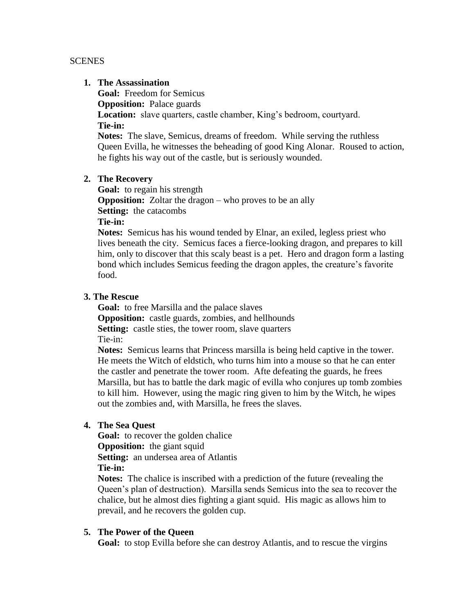#### **SCENES**

#### **1. The Assassination**

**Goal:** Freedom for Semicus

**Opposition:** Palace guards

**Location:** slave quarters, castle chamber, King's bedroom, courtyard. **Tie-in:**

**Notes:** The slave, Semicus, dreams of freedom. While serving the ruthless Queen Evilla, he witnesses the beheading of good King Alonar. Roused to action, he fights his way out of the castle, but is seriously wounded.

# **2. The Recovery**

**Goal:** to regain his strength **Opposition:** Zoltar the dragon – who proves to be an ally **Setting:** the catacombs **Tie-in:** 

**Notes:** Semicus has his wound tended by Elnar, an exiled, legless priest who lives beneath the city. Semicus faces a fierce-looking dragon, and prepares to kill him, only to discover that this scaly beast is a pet. Hero and dragon form a lasting bond which includes Semicus feeding the dragon apples, the creature's favorite food.

# **3. The Rescue**

**Goal:** to free Marsilla and the palace slaves **Opposition:** castle guards, zombies, and hellhounds **Setting:** castle sties, the tower room, slave quarters Tie-in:

**Notes:** Semicus learns that Princess marsilla is being held captive in the tower. He meets the Witch of eldstich, who turns him into a mouse so that he can enter the castler and penetrate the tower room. Afte defeating the guards, he frees Marsilla, but has to battle the dark magic of evilla who conjures up tomb zombies to kill him. However, using the magic ring given to him by the Witch, he wipes out the zombies and, with Marsilla, he frees the slaves.

# **4. The Sea Quest**

**Goal:** to recover the golden chalice **Opposition:** the giant squid **Setting:** an undersea area of Atlantis **Tie-in:**

**Notes:** The chalice is inscribed with a prediction of the future (revealing the Queen's plan of destruction). Marsilla sends Semicus into the sea to recover the chalice, but he almost dies fighting a giant squid. His magic as allows him to prevail, and he recovers the golden cup.

# **5. The Power of the Queen**

**Goal:** to stop Evilla before she can destroy Atlantis, and to rescue the virgins